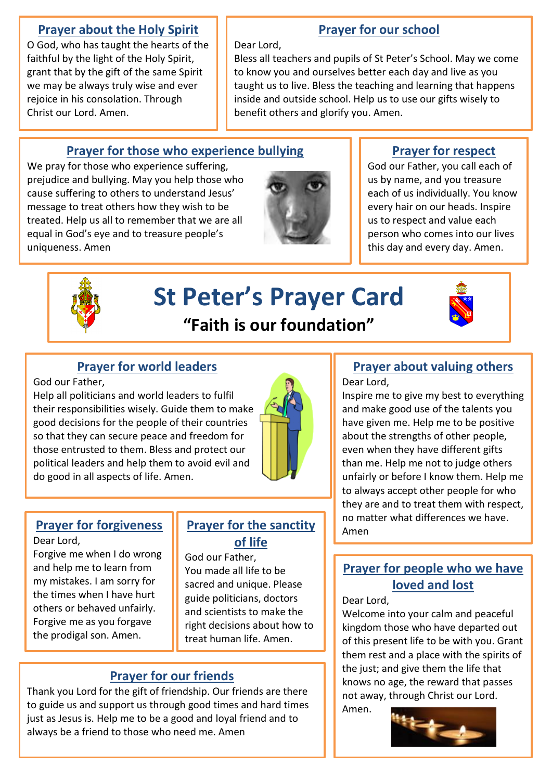### **Prayer about the Holy Spirit**

O God, who has taught the hearts of the faithful by the light of the Holy Spirit, grant that by the gift of the same Spirit we may be always truly wise and ever rejoice in his consolation. Through Christ our Lord. Amen.

# **Prayer for our school**

Dear Lord,

Bless all teachers and pupils of St Peter's School. May we come to know you and ourselves better each day and live as you taught us to live. Bless the teaching and learning that happens inside and outside school. Help us to use our gifts wisely to benefit others and glorify you. Amen.

# **Prayer for those who experience bullying**

We pray for those who experience suffering, prejudice and bullying. May you help those who cause suffering to others to understand Jesus' message to treat others how they wish to be treated. Help us all to remember that we are all equal in God's eye and to treasure people's uniqueness. Amen



# **Prayer for respect**

God our Father, you call each of us by name, and you treasure each of us individually. You know every hair on our heads. Inspire us to respect and value each person who comes into our lives this day and every day. Amen.



# **St Peter's Prayer Card "Faith is our foundation"**



# **Prayer for world leaders**

God our Father,

Help all politicians and world leaders to fulfil their responsibilities wisely. Guide them to make good decisions for the people of their countries so that they can secure peace and freedom for those entrusted to them. Bless and protect our political leaders and help them to avoid evil and do good in all aspects of life. Amen.



Dear Lord,

Forgive me when I do wrong and help me to learn from my mistakes. I am sorry for the times when I have hurt others or behaved unfairly. Forgive me as you forgave the prodigal son. Amen.

#### **Prayer for forgiveness | Prayer for the sanctity | Amen Prayer for the sanctity of life**

God our Father, You made all life to be sacred and unique. Please guide politicians, doctors and scientists to make the right decisions about how to treat human life. Amen.

# **Prayer for our friends**

Thank you Lord for the gift of friendship. Our friends are there to guide us and support us through good times and hard times just as Jesus is. Help me to be a good and loyal friend and to always be a friend to those who need me. Amen

#### **Prayer about valuing others**  Dear Lord,

Inspire me to give my best to everything and make good use of the talents you have given me. Help me to be positive about the strengths of other people, even when they have different gifts than me. Help me not to judge others unfairly or before I know them. Help me to always accept other people for who they are and to treat them with respect, no matter what differences we have.

# **Prayer for people who we have loved and lost**

#### Dear Lord,

Welcome into your calm and peaceful kingdom those who have departed out of this present life to be with you. Grant them rest and a place with the spirits of the just; and give them the life that knows no age, the reward that passes not away, through Christ our Lord.

Amen.